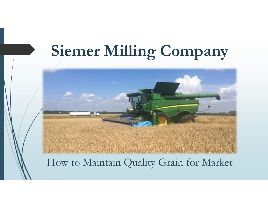# Siemer Milling Company

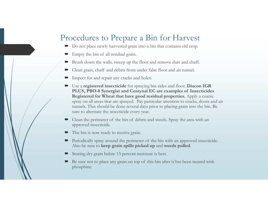# Procedures to Prepare a Bin for Harvest The bin of all residual grain into a bin that contains old crop.<br>
<br> **Empty the bin of all residual grain.**<br>
<br> **Empty the bin of all residual grain.**<br>
<br> **Empty the bin of all residual grain.**<br>
<br> **Empty the bin of all residu**

- Do not place newly harvested grain into a bin that contains old crop.
- 
- Brush down the walls, sweep up the floor and remove dust and chaff.
- 
- Inspect for and repair any cracks and holes.
- To cedures to Prepare a Bin for Harvest<br>
Do not place newly harvested grain into a bin that contains old crop.<br>
Finpty the bin of all residual grain.<br>
Brush down the walls, sweep up the floor and remove dust and chaff.<br>
Cl The Constraints and the spraying and the spraying bin sides and floor. Dependence and floor of all residual grain. <br>
■ Brush down the walls, sweep up the floor and remove dust and chaft.<br>
■ Brush down the walls, sweep up ceedures to Prepare a Bin for Harvest<br>Do not place newly harvested grain into a bin that contains old crop.<br>Empty the bin of all residual grain.<br>Brush down the walls, sweep up the floor and remove dust and chaft.<br>Clean gra Registered for Wheat that have good residual properties. Apply a coarse spray on all areas that are spraying bin that contains old crop.<br>Empty the bin of all residual grain.<br>Brush down the walls, sweep up the floor and remove dust and chaff.<br>Clcan grain, chaff and debris from under false floor tunnels. This should be done several days prior to placing grain into the bin. Be sure to alternate the insecticide every year. TOCECUITES TO PTEPATE A B111 TOT HATVEST<br>
The person of perimeteristic perimeters of the server of the bin of all residual grain.<br>
Summer the walls, sweep up the floor and enonve dust and chaff.<br>
Clean grain, chaff and de ■ Brush down the walls, sweep up the floor and remove dust and chaft.<br>
■ Clean grain, chaff and debris from under false floor and air tunnel.<br>
■ Inspect for and repair any cracks and holes.<br>
■ ULVS, PBO-8 Synergist and Ce ■ Inspect for anti repair any cracks and noies.<br>
Use a registered is excluded for spraying bin sides and floor. Diaeon IGR<br>
PLUS, PBO-8 Synergist and Centynyal EC are examples of Insecticides<br>
Registered for Wheat that ha
- approved insecticide.
- The bin is now ready to receive grain.
- Also be sure to keep grain spills picked up and weeds pulled.
- Storing dry grain below 13 percent moisture is best.
- phosphine.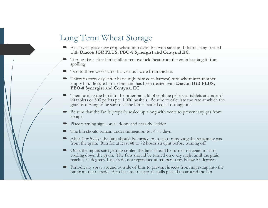# Long Term Wheat Storage

- 
- At harvest place new crop wheat into clean bin with sides and floors being treated<br>
 At harvest place new crop wheat into clean bin with sides and floors being treated<br>
 Turn on fans after bin is full to remove field he ■ At harvest place new crop wheat into clean bin with sides and floors being treated<br>
with Diacon IGR PLUS, PBO-8 Synergist and Centynal EC.<br>
■ Turn on fans after bin is full to remove field heat from the grain keeping it spoiling.
- Two to three weeks after harvest pull core from the bin.
- Thirty to forty days after harvest (before corn harvest) turn wheat into another empty bin. Be sure bin is clean and has been treated with **Diacon IGR PLUS**,
- From Wheat Storage<br>At harvest place new crop wheat into clean bin with sides and floors being reated<br>with Diacon IGR PLUS, PBO-8 Synergist and Centynal EC.<br>Turn on fans after bin is full to remove field heat from the grain For the present place are worse when the other have detailed with Diacon IGR PLUS, PBO-8 Synergist and Centynal EC.<br>
Turn on fans after bin is full to remove field heat from the grain keeping it from spoiling.<br>
The vector Term Wheat Storage<br>At harvest place new crop wheat into clean bin with sides and floors being treated<br>with Diacon IGR PLUS, PBO-8 Synergist and Centynal EC.<br>Turn on fans after bin is full to remove field heat from the grai grain is turning to be sure that the bin is treated equal throughout. The bin should remain that also center that control center and the state in the state in the state of the principal EC.<br>
The on fans after bin is full to remove field heat from the grain keeping it from spoiling.<br>
Two to Furn on tans atter bin is full to remove held neat from the grain keeping it from<br>spoiling.<br>Two to three weeks after harvest pull core from the bin.<br>Thirty to forty days after harvest (before corn harvest) turn wheat into Two to three weeks after harvest pull core from the bin.<br>Thirty to forty downs after harvest (before corn harvest) turn wheat into another<br>Thirty to forty days after harvest (before corn harvest) turn wheat into another<br> Periodically spray around outside of bins to prevent insects from migrating into the **FBO-8 Synergist and Centynal EC.**<br>Then turning the bin into the other bin add phosphine pellets or tablets at a rate of 90 tablets or 300 pellets per 1,000 bushels. Be sure to calculate the rate at which th grain is turni
- Be sure that the fan is properly sealed up along with vents to prevent any gas from escape.
- Place warning signs on all doors and near the ladder.
- 
- After 4 or 5 days the fans should be turned on to start removing the remaining gas from the grain. Run for at least 48 to 72 hours straight before turning off.
- Once the nights start getting cooler, the fans should be turned on again to start cooling down the grain. The fans should be turned on every night until the grain reaches 55 degrees. Insects do not reproduce at temperatures below 55 degrees.
-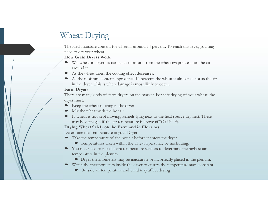# Wheat Drying

The ideal moisture content for wheat is around 14 percent. To reach this level, you may need to dry your wheat.

### How Grain Dryers Work

- Wet wheat in dryers is cooled as moisture from the wheat evaporates into the air around it.
- As the wheat dries, the cooling effect decreases.
- As the moisture content approaches 14 percent, the wheat is almost as hot as the air in the dryer. This is when damage is most likely to occur. Wheat Drying<br>
The ideal moisture content for wheat is around 14 percent. To reach this level, you may<br>
red to dry your wheat.<br>
How Grain Dryers Work<br>
Strew when diverse is cooled as moisture from the wheat evaporates into Wheat Drying<br>
The ideal moisture content for wheat is around 14 percent. To reach this level, you may<br>
need to dry your wheat.<br> **How Grain Dryers Work**<br>
We wheat in dryers is cooled as moisture from the wheat evaporates i Fraction different content of wheat is around 14 percent. To reach this level, you may<br> **to dry your wheat.**<br> **We Grain Dryers Work**<br> **We wheat in dryers is cooled as moisture from the wheat evaporates into the air<br>
aroun How Grain Dryers Work**<br>
Section the wheat evaporates into the air<br>
around it.<br>
As the wheat dries, the cooling effect decreases.<br>
As the wheat dries, the cooling effect decreases.<br>
As the moisture content approaches 14 p

### Farm Dryers

dryer must:

- Keep the wheat moving in the dryer
- Mix the wheat with the hot air
- 

# Drying Wheat Safely on the Farm and in Elevators

Determine the Temperature in your Dryer

- - Temperatures taken within the wheat layers may be misleading.
- You may need to install extra temperature sensors to determine the highest air temperature in the plenum.
	- Dryer thermometers may be inaccurate or incorrectly placed in the plenum.
- Watch the thermometers inside the dryer to ensure the temperature stays constant.
	- $\blacksquare$  Outside air temperature and wind may affect drying.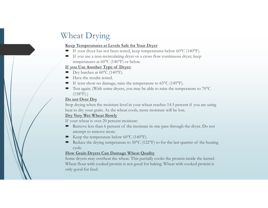# Wheat Drying

# Keep Temperatures at Levels Safe for Your Dryer

- 
- Wheat Drying<br> **Keep Temperatures at Levels Safe for Your Dryer**<br>
 If your dryer has not been tested, keep temperatures below 60°C (140°F).<br>
 If you use a non-recirculating dryer or a cross flow continuous dryer, keep<br>
t Vheat Drying<br> **Keep Temperatures at Levels Safe for Your Dryer**<br> **F** you dryer has not been tested, keep temperatures below 60°C (140°F).<br>
If you use a non-recirculating dryer or a cross flow continuous dryer, keep<br>
tempe temperatures at 60°C (140°F) or below. Wheat Drying<br> **Keep Temperatures at Levels Safe for Your Dryer**<br>
The Tender Temperatures at Levels Safe for Your Dryer<br>
The Tender Type of Dryer:<br>
If you use a non-recirculating dryer or a cross flow continuous dryer, kee

- $\blacktriangleright$  Dry batches at 60 $\degree$ C (140 $\degree$ F).
- $\blacksquare$  Have the results tested.
- 
- V heat Drying<br> **Example 18 Accord State Safe for Your Dryer**<br>
To the stronger of the tests show of the temperatures below 60°C (140°F).<br>
If you use a non-recirculating dryer or a cross flow continuous dryer, keep<br>
tempera ■ Test again. (With some dryers, you may be able to raise the temperature to 70<sup>o</sup>C  $(158^{\circ}F).$

# Do not Over Dry

Wheat Drying<br> **Keep Temperatures at Levels Safe for Your Dryer**<br>
T fyour where has not been tested, keep temperatures below 60°C (140°F).<br>
T fyour we a non-recirculating dryer or a cross flow continuous dryer, keep<br> **If y** heat to dry your grain. As the wheat cools, more moisture will be lost.

# Dry Very Wet Wheat Slowly

- **IF your start is over 20** percent moisture:<br> **Exerces** Exercise Safe for Your Dryer<br>
If you use a non-recirculating dryer or a cross flow continuou<br>
If you use a non-recirculating dryer or a cross flow continuou<br>
If you attempt to remove more.
- Keep the temperature below  $60^{\circ}$ C (140 $^{\circ}$ F).
- **Keep Temperatures at Levels Safe for Your Dryer**<br> **E** If your dryer has not been tested, keep temperatures below 60°C (140°F).<br> **If you Use anon-recirculating dryer or a rooss flow continuous dryer, keep**<br> **Enoy batchs a** cycle.

# How Grain Dryers Can Damage Wheat Quality

**Example 12.1** to  $\frac{1}{2}$  from Use Another Type of Dryer:<br> **F** you Use Another Type of Dryer:<br>
The central is ested.<br>
The central is ested.<br>
The central is ested.<br>
The central is ested.<br>
The central is ested.<br>
They conc Some dryers may overheat the wheat. This partially cooks the protein inside the kernel. Wheat flour with cooked protein is not good for baking. Wheat with cooked protein is only good for feed.